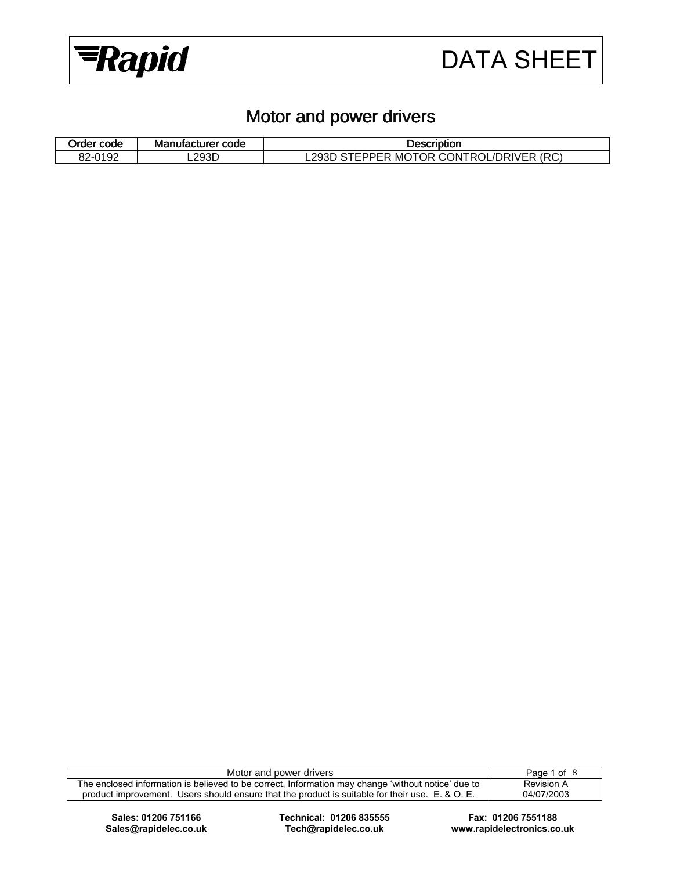

### Motor and power drivers

| $\overline{\phantom{a}}$<br>Order code | <b>Manufacturer code</b> | Description                                                         |  |  |
|----------------------------------------|--------------------------|---------------------------------------------------------------------|--|--|
| 82-0192                                | L293D                    | <b>CONTROL /L.</b><br>$\lambda$ MOTOR CC<br>(RC)<br>.293D<br>DRIVER |  |  |

| Motor and power drivers                                                                            | Page 1 of 8 |
|----------------------------------------------------------------------------------------------------|-------------|
| The enclosed information is believed to be correct, Information may change 'without notice' due to | Revision A  |
| product improvement. Users should ensure that the product is suitable for their use. E. & O. E.    | 04/07/2003  |

**Sales: 01206 751166 Technical: 01206 835555 Fax: 01206 7551188** 

**Sales@rapidelec.co.uk Tech@rapidelec.co.uk www.rapidelectronics.co.uk**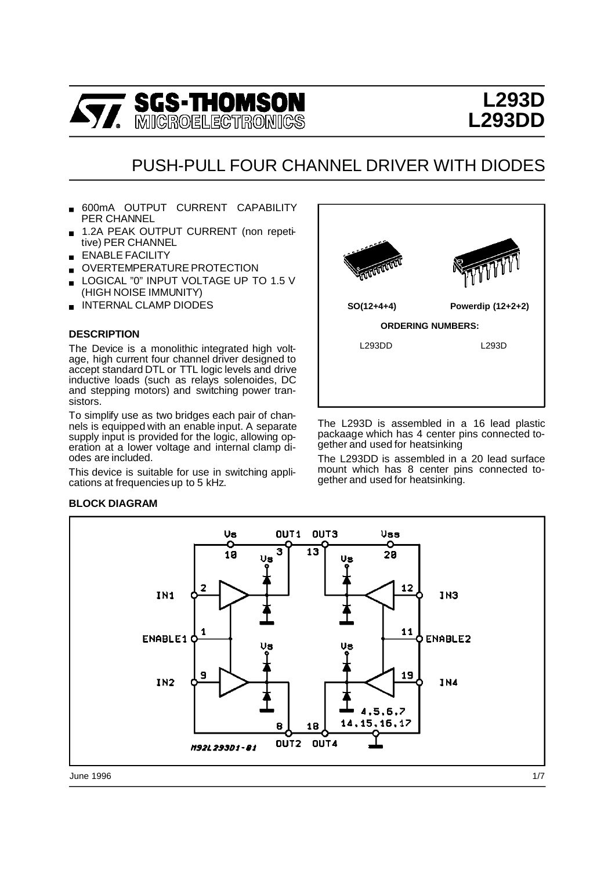

# **L293D L293DD**

## PUSH-PULL FOUR CHANNEL DRIVER WITH DIODES

- 600mA OUTPUT CURRENT CAPABILITY PER CHANNEL
- 1.2A PEAK OUTPUT CURRENT (non repetitive) PER CHANNEL
- **ENABLE FACILITY**
- OVERTEMPERATURE PROTECTION
- LOGICAL "0" INPUT VOLTAGE UP TO 1.5 V (HIGH NOISE IMMUNITY)
- **INTERNAL CLAMP DIODES**

#### **DESCRIPTION**

The Device is a monolithic integrated high voltage, high current four channel driver designed to accept standard DTL or TTL logic levels and drive inductive loads (such as relays solenoides, DC and stepping motors) and switching power transistors.

To simplify use as two bridges each pair of channels is equipped with an enable input. A separate supply input is provided for the logic, allowing operation at a lower voltage and internal clamp diodes are included.

This device is suitable for use in switching applications at frequencies up to 5 kHz.



The L293D is assembled in a 16 lead plastic packaage which has 4 center pins connected together and used for heatsinking

The L293DD is assembled in a 20 lead surface mount which has 8 center pins connected together and used for heatsinking.

#### **BLOCK DIAGRAM**



June 1996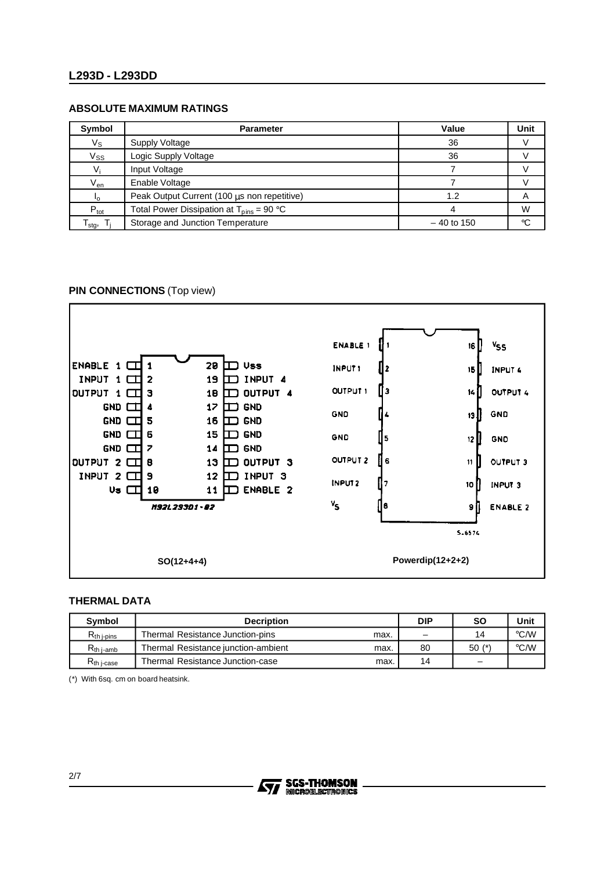#### **L293D - L293DD**

#### **ABSOLUTE MAXIMUM RATINGS**

| Symbol                     | <b>Parameter</b>                                             | Value        | Unit            |
|----------------------------|--------------------------------------------------------------|--------------|-----------------|
| $V_{\rm S}$                | Supply Voltage                                               | 36           |                 |
| $V_{SS}$                   | Logic Supply Voltage                                         | 36           |                 |
| $V_i$                      | Input Voltage                                                |              |                 |
| $\mathsf{V}_{\mathsf{en}}$ | Enable Voltage                                               |              |                 |
| Ιo                         | Peak Output Current (100 µs non repetitive)                  | 1.2          | Α               |
| $P_{\text{tot}}$           | Total Power Dissipation at $T_{\text{bins}} = 90 \text{ °C}$ |              | W               |
| stg,                       | Storage and Junction Temperature                             | $-40$ to 150 | $\rm ^{\circ}C$ |

#### **PIN CONNECTIONS** (Top view)



#### **THERMAL DATA**

| <b>Symbol</b>           | <b>Decription</b>                           | <b>DIP</b> | <b>SO</b>                | Unit               |
|-------------------------|---------------------------------------------|------------|--------------------------|--------------------|
| $R_{th\,$ i-pins        | Thermal Resistance Junction-pins<br>max.    | -          | 14                       | $\rm ^{\circ}$ C/W |
| $R_{th\, i\text{-amb}}$ | Thermal Resistance iunction-ambient<br>max. | 80         | $50(*)$                  | °C/W               |
| $R_{th}$ i-case         | Thermal Resistance Junction-case<br>max.    | 14         | $\overline{\phantom{0}}$ |                    |

(\*) With 6sq. cm on board heatsink.

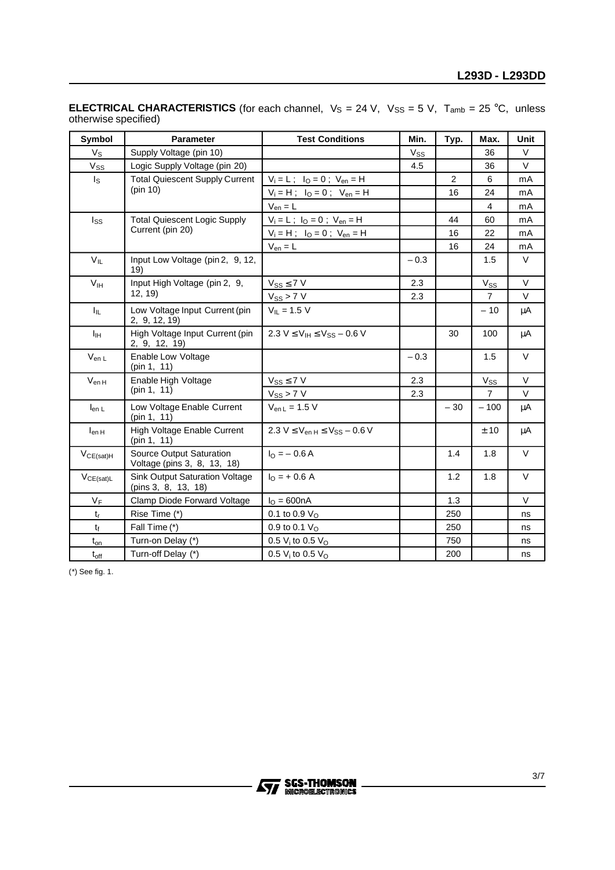| Symbol                     | <b>Parameter</b>                                             | <b>Test Conditions</b>                   | Min.     | Typ.  | Max.           | <b>Unit</b> |
|----------------------------|--------------------------------------------------------------|------------------------------------------|----------|-------|----------------|-------------|
| $V_{\rm S}$                | Supply Voltage (pin 10)                                      |                                          | $V_{SS}$ |       | 36             | $\vee$      |
| $V_{SS}$                   | Logic Supply Voltage (pin 20)                                |                                          | 4.5      |       | 36             | $\vee$      |
| Is                         | <b>Total Quiescent Supply Current</b>                        | $V_i = L$ ; $I_O = 0$ ; $V_{en} = H$     |          | 2     | 6              | mA          |
|                            | (pin 10)                                                     | $V_i = H$ ; $I_O = 0$ ; $V_{en} = H$     |          | 16    | 24             | mA          |
|                            |                                                              | $V_{en} = L$                             |          |       | 4              | mA          |
| Iss                        | <b>Total Quiescent Logic Supply</b>                          | $V_i = L$ ; $I_O = 0$ ; $V_{en} = H$     |          | 44    | 60             | mA          |
|                            | Current (pin 20)                                             | $V_i = H$ ; $I_O = 0$ ; $V_{en} = H$     |          | 16    | 22             | mA          |
|                            |                                                              | $V_{en} = L$                             |          | 16    | 24             | mA          |
| $V_{IL}$                   | Input Low Voltage (pin 2, 9, 12,<br>19)                      |                                          | $-0.3$   |       | 1.5            | $\vee$      |
| $\mathsf{V}_{\mathsf{IH}}$ | Input High Voltage (pin 2, 9,                                | $V_{SS} \leq 7 V$                        | 2.3      |       | $V_{SS}$       | V           |
|                            | 12, 19                                                       | $V_{SS}$ > 7 V                           | 2.3      |       | $\overline{7}$ | V           |
| ΙĻ.                        | Low Voltage Input Current (pin<br>2, 9, 12, 19)              | $V_{IL} = 1.5 V$                         |          |       | $-10$          | μA          |
| Iін                        | High Voltage Input Current (pin<br>2, 9, 12, 19)             | $2.3 V \le V_H \le V_{SS} - 0.6 V$       |          | 30    | 100            | μA          |
| $V_{en L}$                 | Enable Low Voltage<br>(pin 1, 11)                            |                                          | $-0.3$   |       | 1.5            | $\vee$      |
| $V_{enH}$                  | Enable High Voltage                                          | $V_{SS} \leq 7 V$                        | 2.3      |       | Vss            | V           |
|                            | (pin 1, 11)                                                  | $V_{SS}$ > 7 V                           | 2.3      |       | $\overline{7}$ | V           |
| $I_{en L}$                 | Low Voltage Enable Current<br>(pin 1, 11)                    | $V_{en L} = 1.5 V$                       |          | $-30$ | $-100$         | μA          |
| $I_{enH}$                  | High Voltage Enable Current<br>(pin 1, 11)                   | $2.3 V \le V_{en H} \le V_{SS} - 0.6 V$  |          |       | ± 10           | μA          |
| $V_{CE(sat)H}$             | Source Output Saturation<br>Voltage (pins 3, 8, 13, 18)      | $I_0 = -0.6 A$                           |          | 1.4   | 1.8            | V           |
| $V_{CE(sat)L}$             | <b>Sink Output Saturation Voltage</b><br>(pins 3, 8, 13, 18) | $I_0$ = + 0.6 A                          |          | 1.2   | 1.8            | $\vee$      |
| VF                         | Clamp Diode Forward Voltage                                  | $I_{O} = 600nA$                          |          | 1.3   |                | $\vee$      |
| $t_{r}$                    | Rise Time (*)                                                | 0.1 to 0.9 $V_{\rm O}$                   |          | 250   |                | ns          |
| $t_{\rm f}$                | Fall Time (*)                                                | 0.9 to 0.1 $V_{\Omega}$                  |          | 250   |                | ns          |
| $t_{on}$                   | Turn-on Delay (*)                                            | 0.5 $V_i$ to 0.5 $V_O$                   |          | 750   |                | ns          |
| $t_{\rm off}$              | Turn-off Delay (*)                                           | 0.5 V <sub>i</sub> to 0.5 V <sub>o</sub> |          | 200   |                | ns          |

**ELECTRICAL CHARACTERISTICS** (for each channel,  $V_S = 24 V$ ,  $V_{SS} = 5 V$ ,  $T_{amb} = 25 °C$ , unless otherwise specified)

(\*) See fig. 1.

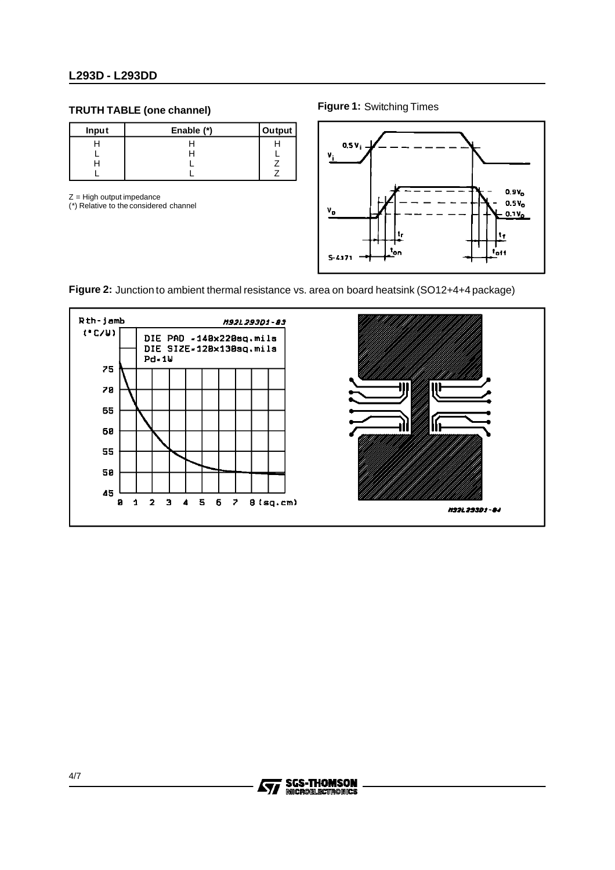#### **L293D - L293DD**

#### **TRUTH TABLE (one channel)**

| <b>Input</b> | Enable (*) | Output |
|--------------|------------|--------|
|              |            |        |
|              |            |        |
|              |            |        |
|              |            |        |

 $Z =$  High output impedance

(\*) Relative to the considered channel

**Figure 1:** Switching Times



**Figure 2:** Junction to ambient thermal resistance vs. area on board heatsink (SO12+4+4 package)



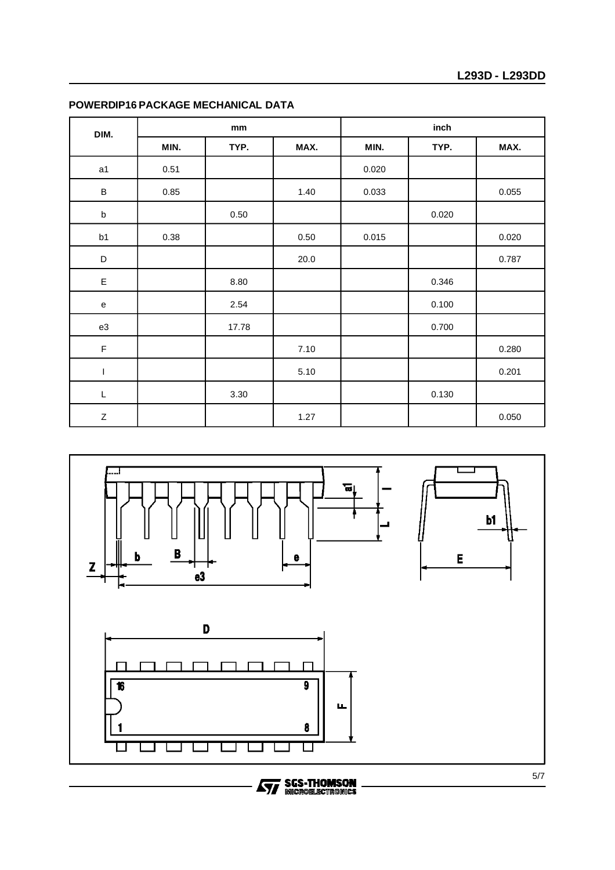| DIM.             | mm   |       |      | inch  |       |       |
|------------------|------|-------|------|-------|-------|-------|
|                  | MIN. | TYP.  | MAX. | MIN.  | TYP.  | MAX.  |
| a1               | 0.51 |       |      | 0.020 |       |       |
| $\sf B$          | 0.85 |       | 1.40 | 0.033 |       | 0.055 |
| $\sf b$          |      | 0.50  |      |       | 0.020 |       |
| b1               | 0.38 |       | 0.50 | 0.015 |       | 0.020 |
| $\mathsf D$      |      |       | 20.0 |       |       | 0.787 |
| $\mathsf E$      |      | 8.80  |      |       | 0.346 |       |
| e                |      | 2.54  |      |       | 0.100 |       |
| ${\tt e3}$       |      | 17.78 |      |       | 0.700 |       |
| $\mathsf F$      |      |       | 7.10 |       |       | 0.280 |
| I                |      |       | 5.10 |       |       | 0.201 |
| L                |      | 3.30  |      |       | 0.130 |       |
| $\boldsymbol{Z}$ |      |       | 1.27 |       |       | 0.050 |

#### **POWERDIP16 PACKAGE MECHANICAL DATA**



# **Ayy SGS-THOMSON**<br>MICROBLECTROMICS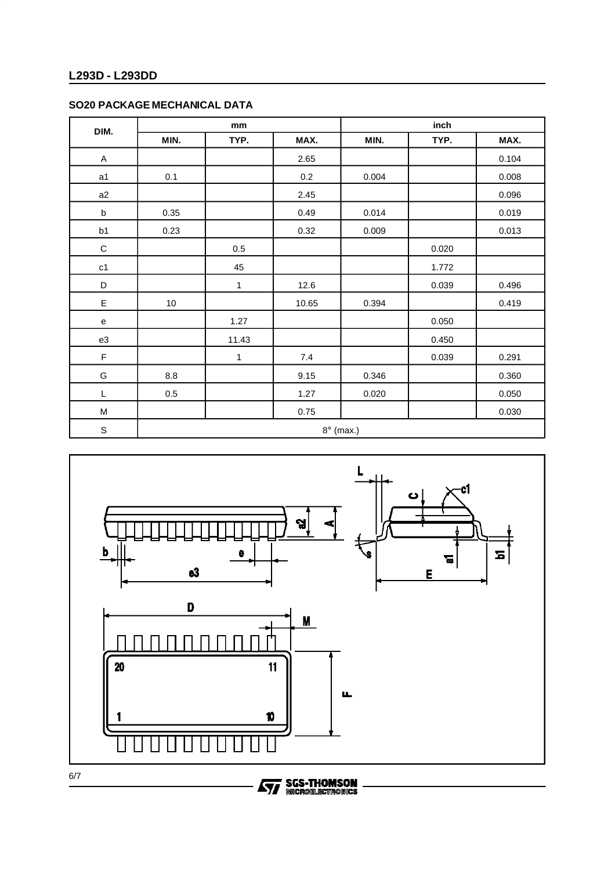### **L293D - L293DD**

#### **SO20 PACKAGE MECHANICAL DATA**

| DIM.          | mm      |              |       | inch             |       |       |
|---------------|---------|--------------|-------|------------------|-------|-------|
|               | MIN.    | TYP.         | MAX.  | MIN.             | TYP.  | MAX.  |
| A             |         |              | 2.65  |                  |       | 0.104 |
| a1            | 0.1     |              | 0.2   | 0.004            |       | 0.008 |
| a2            |         |              | 2.45  |                  |       | 0.096 |
| $\sf b$       | 0.35    |              | 0.49  | 0.014            |       | 0.019 |
| b1            | 0.23    |              | 0.32  | 0.009            |       | 0.013 |
| $\mathsf C$   |         | $0.5\,$      |       |                  | 0.020 |       |
| $\mathtt{c1}$ |         | 45           |       |                  | 1.772 |       |
| $\mathsf D$   |         | $\mathbf{1}$ | 12.6  |                  | 0.039 | 0.496 |
| E             | $10\,$  |              | 10.65 | 0.394            |       | 0.419 |
| e             |         | 1.27         |       |                  | 0.050 |       |
| e3            |         | 11.43        |       |                  | 0.450 |       |
| F             |         | $\mathbf 1$  | $7.4$ |                  | 0.039 | 0.291 |
| G             | 8.8     |              | 9.15  | 0.346            |       | 0.360 |
| L             | $0.5\,$ |              | 1.27  | 0.020            |       | 0.050 |
| M             |         |              | 0.75  |                  |       | 0.030 |
| $\mathbf S$   |         |              |       | $8^\circ$ (max.) |       |       |



**Ayy SGS-THOMSON**<br>MICROELECTROMICS